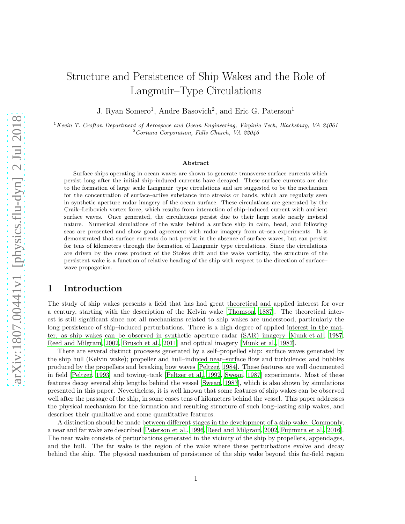# Structure and Persistence of Ship Wakes and the Role of Langmuir–Type Circulations

J. Ryan Somero<sup>1</sup>, Andre Basovich<sup>2</sup>, and Eric G. Paterson<sup>1</sup>

 $1$ Kevin T. Crofton Department of Aerospace and Ocean Engineering, Virginia Tech, Blacksburg, VA 24061  $2$  Cortana Corporation, Falls Church, VA 22046

#### Abstract

Surface ships operating in ocean waves are shown to generate transverse surface currents which persist long after the initial ship–induced currents have decayed. These surface currents are due to the formation of large–scale Langmuir–type circulations and are suggested to be the mechanism for the concentration of surface–active substance into streaks or bands, which are regularly seen in synthetic aperture radar imagery of the ocean surface. These circulations are generated by the Craik–Leibovich vortex force, which results from interaction of ship–induced current with ambient surface waves. Once generated, the circulations persist due to their large–scale nearly–inviscid nature. Numerical simulations of the wake behind a surface ship in calm, head, and following seas are presented and show good agreement with radar imagery from at–sea experiments. It is demonstrated that surface currents do not persist in the absence of surface waves, but can persist for tens of kilometers through the formation of Langmuir–type circulations. Since the circulations are driven by the cross product of the Stokes drift and the wake vorticity, the structure of the persistent wake is a function of relative heading of the ship with respect to the direction of surface– wave propagation.

### 1 Introduction

The study of ship wakes presents a field that has had great theoretical and applied interest for over a century, starting with the description of the Kelvin wake [\[Thomson, 1887\]](#page-26-0). The theoretical interest is still significant since not all mechanisms related to ship wakes are understood, particularly the long persistence of ship–induced perturbations. There is a high degree of applied interest in the matter, as ship wakes can be observed in synthetic aperture radar (SAR) imagery [\[Munk et al., 1987,](#page-25-0) [Reed and Milgram](#page-26-1), [2002,](#page-26-1) [Brusch et al., 2011\]](#page-24-0) and optical imagery [\[Munk et al., 1987\]](#page-25-0).

There are several distinct processes generated by a self–propelled ship: surface waves generated by the ship hull (Kelvin wake); propeller and hull–induced near–surface flow and turbulence; and bubbles produced by the propellers and breaking bow waves [\[Peltzer, 1984\]](#page-26-2). These features are well documented in field [\[Peltzer, 1993](#page-26-3)] and towing–tank [\[Peltzer et al.](#page-26-4), [1992,](#page-26-4) [Swean, 1987\]](#page-26-5) experiments. Most of these features decay several ship lengths behind the vessel [\[Swean, 1987\]](#page-26-5), which is also shown by simulations presented in this paper. Nevertheless, it is well known that some features of ship wakes can be observed well after the passage of the ship, in some cases tens of kilometers behind the vessel. This paper addresses the physical mechanism for the formation and resulting structure of such long–lasting ship wakes, and describes their qualitative and some quantitative features.

A distinction should be made between different stages in the development of a ship wake. Commonly, a near and far wake are described [\[Paterson et al., 1996,](#page-25-1) [Reed and](#page-26-1) Milgram, [2002,](#page-26-1) [Fujimura et al., 2016\]](#page-25-2). The near wake consists of perturbations generated in the vicinity of the ship by propellers, appendages, and the hull. The far wake is the region of the wake where these perturbations evolve and decay behind the ship. The physical mechanism of persistence of the ship wake beyond this far-field region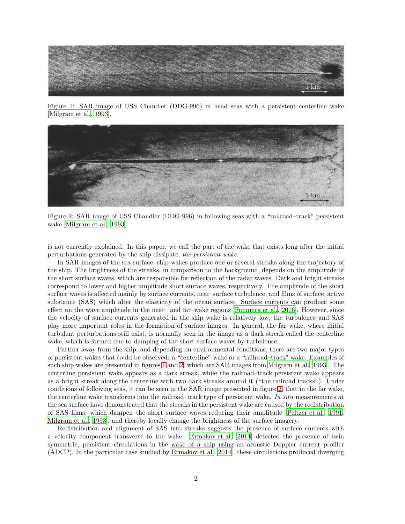<span id="page-1-0"></span>

Figure 1: SAR image of USS Chandler (DDG-996) in head seas with a persistent centerline wake [\[Milgram et al.](#page-25-3), [1993](#page-25-3)].

<span id="page-1-1"></span>

Figure 2: SAR image of USS Chandler (DDG-996) in following seas with a "railroad–track" persistent wake [\[Milgram et al., 1993\]](#page-25-3).

is not currently explained. In this paper, we call the part of the wake that exists long after the initial perturbations generated by the ship dissipate, the persistent wake.

In SAR images of the sea surface, ship wakes produce one or several streaks along the trajectory of the ship. The brightness of the streaks, in comparison to the background, depends on the amplitude of the short surface waves, which are responsible for reflection of the radar waves. Dark and bright streaks correspond to lower and higher amplitude short surface waves, respectively. The amplitude of the short surface waves is affected mainly by surface currents, near–surface turbulence, and films of surface–active substance (SAS) which alter the elasticity of the ocean surface. Surface currents can produce some effect on the wave amplitude in the near– and far–wake regions [\[Fujimura et al., 2016\]](#page-25-2). However, since the velocity of surface currents generated in the ship wake is relatively low, the turbulence and SAS play more important roles in the formation of surface images. In general, the far wake, where initial turbulent perturbations still exist, is normally seen in the image as a dark streak called the centerline wake, which is formed due to damping of the short surface waves by turbulence.

Further away from the ship, and depending on environmental conditions, there are two major types of persistent wakes that could be observed: a "centerline" wake or a "railroad–track" wake. Examples of such ship wakes are presented in figures [1](#page-1-0) and [2,](#page-1-1) which are SAR images from [Milgram et al. \[1993](#page-25-3)]. The centerline persistent wake appears as a dark streak, while the railroad–track persistent wake appears as a bright streak along the centerline with two dark streaks around it ("the railroad tracks"). Under conditions of following seas, it can be seen in the SAR image presented in figure [2,](#page-1-1) that in the far wake, the centerline wake transforms into the railroad–track type of persistent wake. In situ measurements at the sea surface have demonstrated that the streaks in the persistent wake are caused by the redistribution of SAS films, which dampen the short surface waves reducing their amplitude [\[Peltzer et al., 1991,](#page-26-6) [Milgram et al.](#page-25-3), [1993\]](#page-25-3), and thereby locally change the brightness of the surface imagery.

Redistribution and alignment of SAS into streaks suggests the presence of surface currents with a velocity component transverse to the wake. [Ermakov et al. \[2014\]](#page-24-1) detected the presence of twin symmetric, persistent circulations in the wake of a ship using an acoustic Doppler current profiler (ADCP). In the particular case studied by [Ermakov et al. \[2014\]](#page-24-1), these circulations produced diverging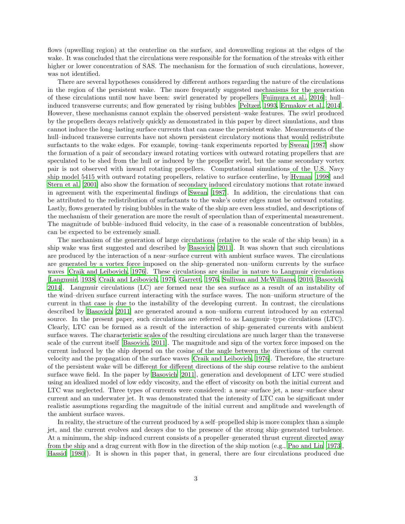flows (upwelling region) at the centerline on the surface, and downwelling regions at the edges of the wake. It was concluded that the circulations were responsible for the formation of the streaks with either higher or lower concentration of SAS. The mechanism for the formation of such circulations, however, was not identified.

There are several hypotheses considered by different authors regarding the nature of the circulations in the region of the persistent wake. The more frequently suggested mechanisms for the generation of these circulations until now have been: swirl generated by propellers [\[Fujimura et al.](#page-25-2), [2016\]](#page-25-2); hull– induced transverse currents; and flow generated by rising bubbles [\[Peltzer, 1993,](#page-26-3) [Ermakov et al., 2014\]](#page-24-1). However, these mechanisms cannot explain the observed persistent–wake features. The swirl produced by the propellers decays relatively quickly as demonstrated in this paper by direct simulations, and thus cannot induce the long–lasting surface currents that can cause the persistent wake. Measurements of the hull–induced transverse currents have not shown persistent circulatory motions that would redistribute surfactants to the wake edges. For example, towing–tank experiments reported by [Swean \[1987\]](#page-26-5) show the formation of a pair of secondary inward rotating vortices with outward rotating propellers that are speculated to be shed from the hull or induced by the propeller swirl, but the same secondary vortex pair is not observed with inward rotating propellers. Computational simulations of the U.S. Navy ship model 5415 with outward rotating propellers, relative to surface centerline, by [Hyman \[1998\]](#page-25-4) and [Stern et al. \[2001\]](#page-26-7) also show the formation of secondary induced circulatory motions that rotate inward in agreement with the experimental findings of [Swean \[1987\]](#page-26-5). In addition, the circulations that can be attributed to the redistribution of surfactants to the wake's outer edges must be outward rotating. Lastly, flows generated by rising bubbles in the wake of the ship are even less studied, and descriptions of the mechanism of their generation are more the result of speculation than of experimental measurement. The magnitude of bubble–induced fluid velocity, in the case of a reasonable concentration of bubbles, can be expected to be extremely small.

The mechanism of the generation of large circulations (relative to the scale of the ship beam) in a ship wake was first suggested and described by [Basovich \[2011\]](#page-24-2). It was shown that such circulations are produced by the interaction of a near–surface current with ambient surface waves. The circulations are generated by a vortex force imposed on the ship–generated non–uniform currents by the surface waves [\[Craik and Leibovich](#page-24-3), [1976](#page-24-3)]. These circulations are similar in nature to Langmuir circulations [\[Langmuir, 1938](#page-25-5), [Craik and Leibovich](#page-24-3), [1976,](#page-24-3) [Garrett, 1976](#page-25-6), Sullivan [and McWilliams](#page-26-8), [2010,](#page-26-8) [Basovich,](#page-24-4) [2014\]](#page-24-4). Langmuir circulations (LC) are formed near the sea surface as a result of an instability of the wind–driven surface current interacting with the surface waves. The non–uniform structure of the current in that case is due to the instability of the developing current. In contrast, the circulations described by [Basovich \[2011\]](#page-24-2) are generated around a non–uniform current introduced by an external source. In the present paper, such circulations are referred to as Langmuir–type circulations (LTC). Clearly, LTC can be formed as a result of the interaction of ship–generated currents with ambient surface waves. The characteristic scales of the resulting circulations are much larger than the transverse scale of the current itself [\[Basovich, 2011\]](#page-24-2). The magnitude and sign of the vortex force imposed on the current induced by the ship depend on the cosine of the angle between the directions of the current velocity and the propagation of the surface waves [\[Craik and Leibovich, 1976](#page-24-3)]. Therefore, the structure of the persistent wake will be different for different directions of the ship course relative to the ambient surface wave field. In the paper by [Basovich \[2011](#page-24-2)], generation and development of LTC were studied using an idealized model of low eddy viscosity, and the effect of viscosity on both the initial current and LTC was neglected. Three types of currents were considered: a near–surface jet, a near–surface shear current and an underwater jet. It was demonstrated that the intensity of LTC can be significant under realistic assumptions regarding the magnitude of the initial current and amplitude and wavelength of the ambient surface waves.

In reality, the structure of the current produced by a self–propelled ship is more complex than a simple jet, and the current evolves and decays due to the presence of the strong ship–generated turbulence. At a minimum, the ship–induced current consists of a propeller–generated thrust current directed away from the ship and a drag current with flow in the direction of the ship motion (e.g., [Pao and Lin \[1973\]](#page-25-7), [Hassid \[1980\]](#page-25-8)). It is shown in this paper that, in general, there are four circulations produced due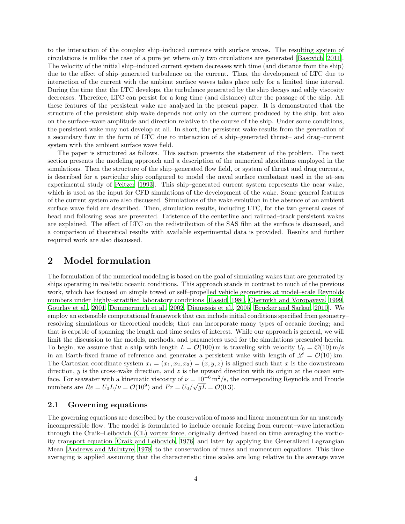to the interaction of the complex ship–induced currents with surface waves. The resulting system of circulations is unlike the case of a pure jet where only two circulations are generated [\[Basovich, 2011\]](#page-24-2). The velocity of the initial ship–induced current system decreases with time (and distance from the ship) due to the effect of ship–generated turbulence on the current. Thus, the development of LTC due to interaction of the current with the ambient surface waves takes place only for a limited time interval. During the time that the LTC develops, the turbulence generated by the ship decays and eddy viscosity decreases. Therefore, LTC can persist for a long time (and distance) after the passage of the ship. All these features of the persistent wake are analyzed in the present paper. It is demonstrated that the structure of the persistent ship wake depends not only on the current produced by the ship, but also on the surface–wave amplitude and direction relative to the course of the ship. Under some conditions, the persistent wake may not develop at all. In short, the persistent wake results from the generation of a secondary flow in the form of LTC due to interaction of a ship–generated thrust– and drag–current system with the ambient surface wave field.

The paper is structured as follows. This section presents the statement of the problem. The next section presents the modeling approach and a description of the numerical algorithms employed in the simulations. Then the structure of the ship–generated flow field, or system of thrust and drag currents, is described for a particular ship configured to model the naval surface combatant used in the at–sea experimental study of [Peltzer \[1993\]](#page-26-3). This ship–generated current system represents the near wake, which is used as the input for CFD simulations of the development of the wake. Some general features of the current system are also discussed. Simulations of the wake evolution in the absence of an ambient surface wave field are described. Then, simulation results, including LTC, for the two general cases of head and following seas are presented. Existence of the centerline and railroad–track persistent wakes are explained. The effect of LTC on the redistribution of the SAS film at the surface is discussed, and a comparison of theoretical results with available experimental data is provided. Results and further required work are also discussed.

### 2 Model formulation

The formulation of the numerical modeling is based on the goal of simulating wakes that are generated by ships operating in realistic oceanic conditions. This approach stands in contrast to much of the previous work, which has focused on simple towed or self–propelled vehicle geometries at model–scale Reynolds numbers under highly–stratified laboratory conditions [\[Hassid, 1980,](#page-25-8) [Chernykh and Voropayeva, 1999,](#page-24-5) [Gourlay et al.](#page-25-9), [2001,](#page-25-9) [Dommermuth et al.](#page-24-6), [2002,](#page-24-6) [Diamessis et al., 2005](#page-24-7), [Brucker and Sarkar](#page-24-8), [2010\]](#page-24-8). We employ an extensible computational framework that can include initial conditions specified from geometry– resolving simulations or theoretical models; that can incorporate many types of oceanic forcing; and that is capable of spanning the length and time scales of interest. While our approach is general, we will limit the discussion to the models, methods, and parameters used for the simulations presented herein. To begin, we assume that a ship with length  $L = \mathcal{O}(100)$  m is traveling with velocity  $U_0 = \mathcal{O}(10)$  m/s in an Earth-fixed frame of reference and generates a persistent wake with length of  $\mathscr{L} = \mathcal{O}(10)$  km. The Cartesian coordinate system  $x_i = (x_1, x_2, x_3) = (x, y, z)$  is aligned such that x is the downstream direction,  $y$  is the cross–wake direction, and  $z$  is the upward direction with its origin at the ocean surface. For seawater with a kinematic viscosity of  $\nu = 10^{-6} \text{ m}^2/\text{s}$ , the corresponding Reynolds and Froude numbers are  $Re = U_0 L/\nu = \mathcal{O}(10^9)$  and  $Fr = U_0/\sqrt{gL} = \mathcal{O}(0.3)$ .

#### 2.1 Governing equations

The governing equations are described by the conservation of mass and linear momentum for an unsteady incompressible flow. The model is formulated to include oceanic forcing from current–wave interaction through the Craik–Leibovich (CL) vortex force, originally derived based on time averaging the vorticity transport equation [\[Craik and Leibovich](#page-24-3), [1976\]](#page-24-3) and later by applying the Generalized Lagrangian Mean [\[Andrews and McIntyre, 1978\]](#page-24-9) to the conservation of mass and momentum equations. This time averaging is applied assuming that the characteristic time scales are long relative to the average wave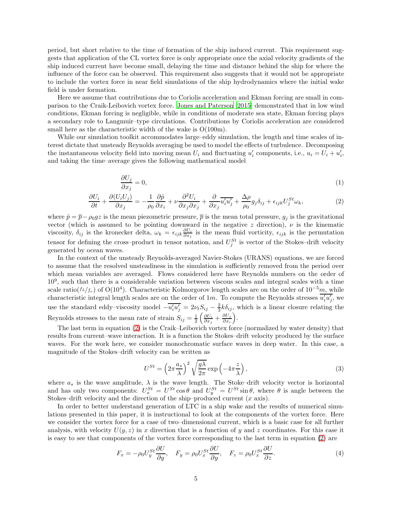period, but short relative to the time of formation of the ship induced current. This requirement suggests that application of the CL vortex force is only appropriate once the axial velocity gradients of the ship induced current have become small, delaying the time and distance behind the ship for where the influence of the force can be observed. This requirement also suggests that it would not be appropriate to include the vortex force in near field simulations of the ship hydrodynamics where the initial wake field is under formation.

Here we assume that contributions due to Coriolis acceleration and Ekman forcing are small in comparison to the Craik-Leibovich vortex force. [Jones and Paterson](#page-25-10) [\[2015\]](#page-25-10) demonstrated that in low wind conditions, Ekman forcing is negligible, while in conditions of moderate sea state, Ekman forcing plays a secondary role to Langmuir–type circulations. Contributions by Coriolis acceleration are considered small here as the characteristic width of the wake is  $O(100m)$ .

While our simulation toolkit accommodates large–eddy simulation, the length and time scales of interest dictate that unsteady Reynolds averaging be used to model the effects of turbulence. Decomposing the instantaneous velocity field into moving mean  $U_i$  and fluctuating  $u'_i$  components, i.e.,  $u_i = U_i + u'_i$ , and taking the time–average gives the following mathematical model

<span id="page-4-0"></span>
$$
\frac{\partial U_j}{\partial x_j} = 0,\tag{1}
$$

$$
\frac{\partial U_i}{\partial t} + \frac{\partial (U_i U_j)}{\partial x_j} = -\frac{1}{\rho_0} \frac{\partial \hat{p}}{\partial x_i} + \nu \frac{\partial^2 U_i}{\partial x_j \partial x_j} + \frac{\partial}{\partial x_j} \overline{u'_i u'_j} + \frac{\Delta \rho}{\rho_0} g_j \delta_{ij} + \epsilon_{ijk} U_j^{St} \omega_k, \tag{2}
$$

where  $\hat{p} = \overline{p} - \rho_0 gz$  is the mean piezometric pressure,  $\overline{p}$  is the mean total pressure,  $g_j$  is the gravitational vector (which is assumed to be pointing downward in the negative z direction),  $\nu$  is the kinematic viscosity,  $\delta_{ij}$  is the kronecker delta,  $\omega_k = \epsilon_{ijk} \frac{\partial U_i}{\partial x_j}$  is the mean fluid vorticity,  $\epsilon_{ijk}$  is the permutation tensor for defining the cross-product in tensor notation, and  $U_j^{St}$  is vector of the Stokes-drift velocity generated by ocean waves.

In the context of the unsteady Reynolds-averaged Navier-Stokes (URANS) equations, we are forced to assume that the resolved unsteadiness in the simulation is sufficiently removed from the period over which mean variables are averaged. Flows considered here have Reynolds numbers on the order of 10<sup>9</sup> , such that there is a considerable variation between viscous scales and integral scales with a time scale ratio( $f_L/f_\nu$ ) of O(10<sup>4</sup>). Characteristic Kolmorgorov length scales are on the order of 10<sup>-5</sup>m, while characteristic integral length scales are on the order of 1m. To compute the Reynolds stresses  $\overline{u'_i u'_j}$ , we use the standard eddy–viscosity model  $-\overline{u'_i u'_j} = 2\nu_t S_{ij} - \frac{2}{3}k\delta_{ij}$ , which is a linear closure relating the Reynolds stresses to the mean rate of strain  $S_{ij} = \frac{1}{2} \left( \frac{\partial U_i}{\partial x_j} + \frac{\partial U_j}{\partial x_i} \right)$  $\frac{\partial U_j}{\partial x_i}\Big).$ 

The last term in equation [\(2\)](#page-4-0) is the Craik–Leibovich vortex force (normalized by water density) that results from current–wave interaction. It is a function the Stokes–drift velocity produced by the surface waves. For the work here, we consider monochromatic surface waves in deep water. In this case, a magnitude of the Stokes–drift velocity can be written as

$$
U^{St} = \left(2\pi \frac{a_s}{\lambda}\right)^2 \sqrt{\frac{g\lambda}{2\pi}} \exp\left(-4\pi \frac{z}{\lambda}\right),\tag{3}
$$

where  $a_s$  is the wave amplitude,  $\lambda$  is the wave length. The Stoke–drift velocity vector is horizontal and has only two components:  $U_x^{St} = U^{St} \cos \theta$  and  $U_y^{St} = U^{St} \sin \theta$ , where  $\theta$  is angle between the Stokes–drift velocity and the direction of the ship–produced current  $(x \text{ axis})$ .

In order to better understand generation of LTC in a ship wake and the results of numerical simulations presented in this paper, it is instructional to look at the components of the vortex force. Here we consider the vortex force for a case of two–dimensional current, which is a basic case for all further analysis, with velocity  $U(y, z)$  in x direction that is a function of y and z coordinates. For this case it is easy to see that components of the vortex force corresponding to the last term in equation [\(2\)](#page-4-0) are

$$
F_x = -\rho_0 U_y^{St} \frac{\partial U}{\partial y}, \quad F_y = \rho_0 U_x^{St} \frac{\partial U}{\partial y}, \quad F_z = \rho_0 U_x^{St} \frac{\partial U}{\partial z}.
$$
 (4)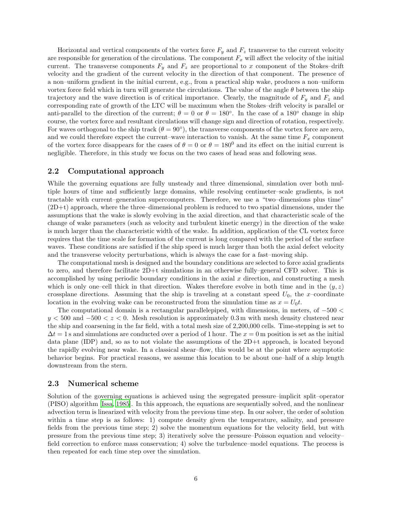Horizontal and vertical components of the vortex force  $F_y$  and  $F_z$  transverse to the current velocity are responsible for generation of the circulations. The component  $F_x$  will affect the velocity of the initial current. The transverse components  $F_y$  and  $F_z$  are proportional to x component of the Stokes–drift velocity and the gradient of the current velocity in the direction of that component. The presence of a non–uniform gradient in the initial current, e.g., from a practical ship wake, produces a non–uniform vortex force field which in turn will generate the circulations. The value of the angle  $\theta$  between the ship trajectory and the wave direction is of critical importance. Clearly, the magnitude of  $F_y$  and  $F_z$  and corresponding rate of growth of the LTC will be maximum when the Stokes–drift velocity is parallel or anti-parallel to the direction of the current;  $\theta = 0$  or  $\theta = 180^\circ$ . In the case of a 180° change in ship course, the vortex force and resultant circulations will change sign and direction of rotation, respectively. For waves orthogonal to the ship track  $(\theta = 90^{\circ})$ , the transverse components of the vortex force are zero, and we could therefore expect the current–wave interaction to vanish. At the same time  $F_x$  component of the vortex force disappears for the cases of  $\theta = 0$  or  $\theta = 180^{\circ}$  and its effect on the initial current is negligible. Therefore, in this study we focus on the two cases of head seas and following seas.

#### 2.2 Computational approach

While the governing equations are fully unsteady and three dimensional, simulation over both multiple hours of time and sufficiently large domains, while resolving centimeter–scale gradients, is not tractable with current–generation supercomputers. Therefore, we use a "two–dimensions plus time" (2D+t) approach, where the three–dimensional problem is reduced to two spatial dimensions, under the assumptions that the wake is slowly evolving in the axial direction, and that characteristic scale of the change of wake parameters (such as velocity and turbulent kinetic energy) in the direction of the wake is much larger than the characteristic width of the wake. In addition, application of the CL vortex force requires that the time scale for formation of the current is long compared with the period of the surface waves. These conditions are satisfied if the ship speed is much larger than both the axial defect velocity and the transverse velocity perturbations, which is always the case for a fast–moving ship.

The computational mesh is designed and the boundary conditions are selected to force axial gradients to zero, and therefore facilitate 2D+t simulations in an otherwise fully–general CFD solver. This is accomplished by using periodic boundary conditions in the axial  $x$  direction, and constructing a mesh which is only one–cell thick in that direction. Wakes therefore evolve in both time and in the  $(y, z)$ crossplane directions. Assuming that the ship is traveling at a constant speed  $U_0$ , the x-coordinate location in the evolving wake can be reconstructed from the simulation time as  $x = U_0 t$ .

The computational domain is a rectangular parallelepiped, with dimensions, in meters, of −500 <  $y < 500$  and  $-500 < z < 0$ . Mesh resolution is approximately 0.3 m with mesh density clustered near the ship and coarsening in the far field, with a total mesh size of 2,200,000 cells. Time-stepping is set to  $\Delta t = 1$  s and simulations are conducted over a period of 1 hour. The  $x = 0$  m position is set as the initial data plane (IDP) and, so as to not violate the assumptions of the 2D+t approach, is located beyond the rapidly evolving near wake. In a classical shear–flow, this would be at the point where asymptotic behavior begins. For practical reasons, we assume this location to be about one–half of a ship length downstream from the stern.

#### 2.3 Numerical scheme

Solution of the governing equations is achieved using the segregated pressure–implicit split–operator (PISO) algorithm [\[Issa](#page-25-11), [1985\]](#page-25-11). In this approach, the equations are sequentially solved, and the nonlinear advection term is linearized with velocity from the previous time step. In our solver, the order of solution within a time step is as follows: 1) compute density given the temperature, salinity, and pressure fields from the previous time step; 2) solve the momentum equations for the velocity field, but with pressure from the previous time step; 3) iteratively solve the pressure–Poisson equation and velocity– field correction to enforce mass conservation; 4) solve the turbulence–model equations. The process is then repeated for each time step over the simulation.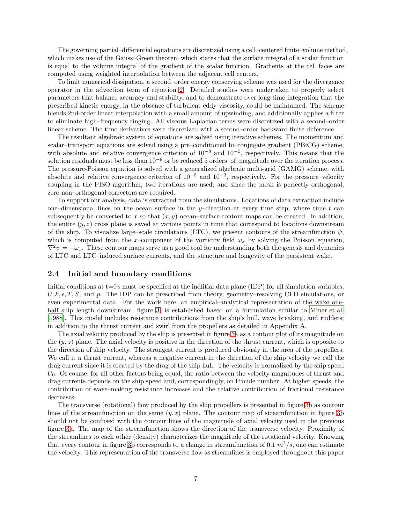The governing partial–differential equations are discretized using a cell–centered finite–volume method, which makes use of the Gauss–Green theorem which states that the surface integral of a scalar function is equal to the volume integral of the gradient of the scalar function. Gradients at the cell faces are computed using weighted interpolation between the adjacent cell centers.

To limit numerical dissipation, a second–order energy conserving scheme was used for the divergence operator in the advection term of equation [2.](#page-4-0) Detailed studies were undertaken to properly select parameters that balance accuracy and stability, and to demonstrate over long time integration that the prescribed kinetic energy, in the absence of turbulent eddy viscosity, could be maintained. The scheme blends 2nd-order linear interpolation with a small amount of upwinding, and additionally applies a filter to eliminate high–frequency ringing. All viscous Laplacian terms were discretized with a second–order linear scheme. The time derivatives were discretized with a second–order backward finite difference.

The resultant algebraic system of equations are solved using iterative schemes. The momentum and scalar–transport equations are solved using a pre–conditioned bi–conjugate gradient (PBiCG) scheme, with absolute and relative convergence criterion of 10−<sup>8</sup> and 10−<sup>5</sup> , respectively. This means that the solution residuals must be less than  $10^{-8}$  or be reduced 5 orders–of–magnitude over the iteration process. The pressure-Poisson equation is solved with a generalized algebraic multi-grid (GAMG) scheme, with absolute and relative convergence criterion of  $10^{-5}$  and  $10^{-3}$ , respectively. For the pressure–velocity coupling in the PISO algorithm, two iterations are used; and since the mesh is perfectly orthogonal, zero non–orthogonal correctors are required.

To support our analysis, data is extracted from the simulations. Locations of data extraction include one–dimensional lines on the ocean surface in the y–direction at every time step, where time  $t$  can subsequently be converted to x so that  $(x, y)$  ocean–surface contour maps can be created. In addition, the entire  $(y, z)$  cross plane is saved at various points in time that correspond to locations downstream of the ship. To visualize large–scale circulations (LTC), we present contours of the streamfunction  $\psi$ , which is computed from the x–component of the vorticity field  $\omega_x$  by solving the Poisson equation,  $\nabla^2 \psi = -\omega_x$ . These contour maps serve as a good tool for understanding both the genesis and dynamics of LTC and LTC–induced surface currents, and the structure and longevity of the persistent wake.

#### 2.4 Initial and boundary conditions

Initial conditions at  $t=0$  s must be specified at the indfitial data plane (IDP) for all simulation variables,  $U, k, \epsilon, T, S$ , and p. The IDP can be prescribed from theory, geometry–resolving CFD simulations, or even experimental data. For the work here, an empirical–analytical representation of the wake onehalf ship length downstream, figure [3,](#page-7-0) is established based on a formulation similar to [Miner et al.](#page-25-12) [\[1988\]](#page-25-12). This model includes resistance contributions from the ship's hull, wave breaking, and rudders; in addition to the thrust current and swirl from the propellers as detailed in Appendix A.

The axial velocity produced by the ship is presented in figure [3a](#page-7-0) as a contour plot of its magnitude on the  $(y, z)$  plane. The axial velocity is positive in the direction of the thrust current, which is opposite to the direction of ship velocity. The strongest current is produced obviously in the area of the propellers. We call it a thrust current, whereas a negative current in the direction of the ship velocity we call the drag current since it is created by the drag of the ship hull. The velocity is normalized by the ship speed  $U_0$ . Of course, for all other factors being equal, the ratio between the velocity magnitudes of thrust and drag currents depends on the ship speed and, correspondingly, on Froude number. At higher speeds, the contribution of wave–making resistance increases and the relative contribution of frictional resistance decreases.

The transverse (rotational) flow produced by the ship propellers is presented in figure [3b](#page-7-0) as contour lines of the streamfunction on the same  $(y, z)$  plane. The contour map of streamfunction in figure [3b](#page-7-0) should not be confused with the contour lines of the magnitude of axial velocity used in the previous figure [3a](#page-7-0). The map of the streamfunction shows the direction of the transverse velocity. Proximity of the streamlines to each other (density) characterizes the magnitude of the rotational velocity. Knowing that every contour in figure [3b](#page-7-0) corresponds to a change in streamfunction of 0.1  $m^2/s$ , one can estimate the velocity. This representation of the transverse flow as streamlines is employed throughout this paper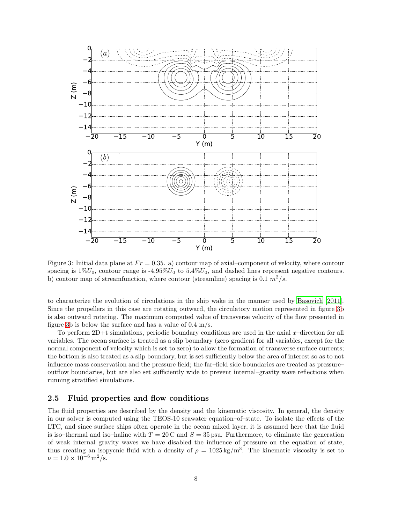<span id="page-7-0"></span>

Figure 3: Initial data plane at  $Fr = 0.35$ . a) contour map of axial–component of velocity, where contour spacing is  $1\%U_0$ , contour range is  $-4.95\%U_0$  to  $5.4\%U_0$ , and dashed lines represent negative contours. b) contour map of streamfunction, where contour (streamline) spacing is 0.1  $m^2/s$ .

to characterize the evolution of circulations in the ship wake in the manner used by [Basovich \[2011\]](#page-24-2). Since the propellers in this case are rotating outward, the circulatory motion represented in figure [3b](#page-7-0) is also outward rotating. The maximum computed value of transverse velocity of the flow presented in figure [3b](#page-7-0) is below the surface and has a value of 0.4 m/s.

To perform  $2D+t$  simulations, periodic boundary conditions are used in the axial x–direction for all variables. The ocean surface is treated as a slip boundary (zero gradient for all variables, except for the normal component of velocity which is set to zero) to allow the formation of transverse surface currents; the bottom is also treated as a slip boundary, but is set sufficiently below the area of interest so as to not influence mass conservation and the pressure field; the far–field side boundaries are treated as pressure– outflow boundaries, but are also set sufficiently wide to prevent internal–gravity wave reflections when running stratified simulations.

#### 2.5 Fluid properties and flow conditions

The fluid properties are described by the density and the kinematic viscosity. In general, the density in our solver is computed using the TEOS-10 seawater equation–of–state. To isolate the effects of the LTC, and since surface ships often operate in the ocean mixed layer, it is assumed here that the fluid is iso–thermal and iso–haline with  $T = 20$  C and  $S = 35$  psu. Furthermore, to eliminate the generation of weak internal gravity waves we have disabled the influence of pressure on the equation of state, thus creating an isopycnic fluid with a density of  $\rho = 1025 \text{ kg/m}^3$ . The kinematic viscosity is set to  $\nu = 1.0 \times 10^{-6} \,\mathrm{m}^2/\mathrm{s}.$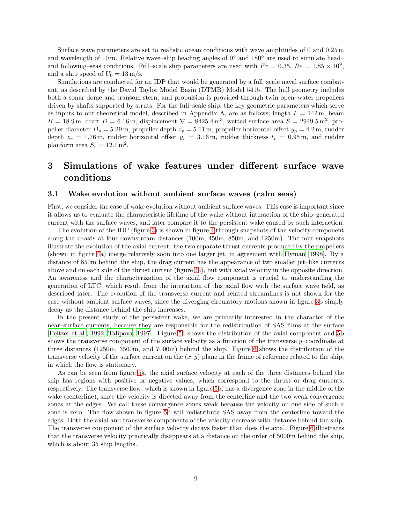Surface wave parameters are set to realistic ocean conditions with wave amplitudes of 0 and 0.25 m and wavelength of 10 m. Relative wave–ship heading angles of 0◦ and 180◦ are used to simulate head– and following–seas conditions. Full–scale ship parameters are used with  $Fr = 0.35$ ,  $Re = 1.85 \times 10^9$ , and a ship speed of  $U_0 = 13 \text{ m/s}$ .

Simulations are conducted for an IDP that would be generated by a full–scale naval surface combatant, as described by the David Taylor Model Basin (DTMB) Model 5415. The hull geometry includes both a sonar dome and transom stern, and propulsion is provided through twin open–water propellers driven by shafts supported by struts. For the full–scale ship, the key geometric parameters which serve as inputs to our theoretical model, described in Appendix A, are as follows; length  $L = 142$  m, beam  $B = 18.9 \,\mathrm{m}$ , draft  $D = 6.16 \,\mathrm{m}$ , displacement  $\nabla = 8425.4 \,\mathrm{m}^3$ , wetted surface area  $S = 2949.5 \,\mathrm{m}^2$ , propeller diameter  $D_p = 5.29$  m, propeller depth  $z_p = 5.11$  m, propeller horizontal offset  $y_p = 4.2$  m, rudder depth  $z_r = 1.76$  m, rudder horizontal offset  $y_r = 3.16$  m, rudder thickness  $t_r = 0.95$  m, and rudder planform area  $S_r = 12.1 \,\mathrm{m}^2$ .

## 3 Simulations of wake features under different surface wave conditions

#### 3.1 Wake evolution without ambient surface waves (calm seas)

First, we consider the case of wake evolution without ambient surface waves. This case is important since it allows us to evaluate the characteristic lifetime of the wake without interaction of the ship–generated current with the surface waves, and later compare it to the persistent wake caused by such interaction.

The evolution of the IDP (figure [3\)](#page-7-0) is shown in figure [4](#page-9-0) through snapshots of the velocity component along the x–axis at four downstream distances  $(100m, 450m, 850m,$  and  $1250m$ ). The four snapshots illustrate the evolution of the axial current: the two separate thrust currents produced by the propellers (shown in figure [4a](#page-9-0)) merge relatively soon into one larger jet, in agreement with [Hyman \[1998](#page-25-4)]. By a distance of 850m behind the ship, the drag current has the appearance of two smaller jet–like currents above and on each side of the thrust current (figure [4c](#page-9-0)), but with axial velocity in the opposite direction. An awareness and the characterization of the axial flow component is crucial to understanding the generation of LTC, which result from the interaction of this axial flow with the surface wave field, as described later. The evolution of the transverse current and related streamlines is not shown for the case without ambient surface waves, since the diverging circulatory motions shown in figure [3b](#page-7-0) simply decay as the distance behind the ship increases.

In the present study of the persistent wake, we are primarily interested in the character of the near–surface currents, because they are responsible for the redistribution of SAS films at the surface [\[Peltzer et al., 1992,](#page-26-4) [Talipova, 1997\]](#page-26-9). Figure [5a](#page-10-0) shows the distribution of the axial component and [5b](#page-10-0) shows the transverse component of the surface velocity as a function of the transverse y–coordinate at three distances (1250m, 3500m, and 7000m) behind the ship. Figure [6](#page-10-1) shows the distribution of the transverse velocity of the surface current on the  $(x, y)$  plane in the frame of reference related to the ship, in which the flow is stationary.

As can be seen from figure [5a](#page-10-0), the axial surface velocity at each of the three distances behind the ship has regions with positive or negative values, which correspond to the thrust or drag currents, respectively. The transverse flow, which is shown in figure [5b](#page-10-0), has a divergence zone in the middle of the wake (centerline), since the velocity is directed away from the centerline and the two weak convergence zones at the edges. We call these convergence zones weak because the velocity on one side of such a zone is zero. The flow shown in figure [5b](#page-10-0) will redistribute SAS away from the centerline toward the edges. Both the axial and transverse components of the velocity decrease with distance behind the ship. The transverse component of the surface velocity decays faster than does the axial. Figure [6](#page-10-1) illustrates that the transverse velocity practically disappears at a distance on the order of 5000m behind the ship, which is about 35 ship lengths.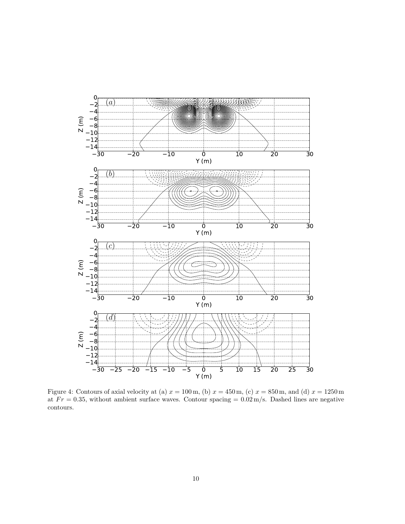<span id="page-9-0"></span>

Figure 4: Contours of axial velocity at (a)  $x = 100 \text{ m}$ , (b)  $x = 450 \text{ m}$ , (c)  $x = 850 \text{ m}$ , and (d)  $x = 1250 \text{ m}$ at  $Fr = 0.35$ , without ambient surface waves. Contour spacing =  $0.02 \,\mathrm{m/s}$ . Dashed lines are negative contours.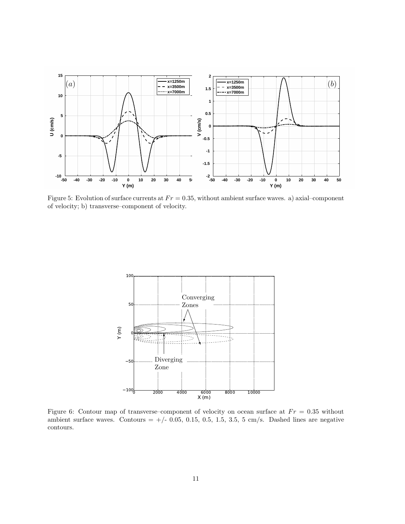<span id="page-10-0"></span>

Figure 5: Evolution of surface currents at  $Fr = 0.35$ , without ambient surface waves. a) axial–component of velocity; b) transverse–component of velocity.

<span id="page-10-1"></span>

Figure 6: Contour map of transverse–component of velocity on ocean surface at  $Fr = 0.35$  without ambient surface waves. Contours  $= +/- 0.05, 0.15, 0.5, 1.5, 3.5, 5$  cm/s. Dashed lines are negative contours.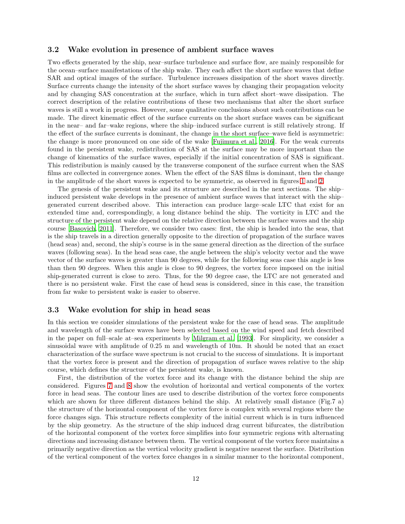#### 3.2 Wake evolution in presence of ambient surface waves

Two effects generated by the ship, near–surface turbulence and surface flow, are mainly responsible for the ocean–surface manifestations of the ship wake. They each affect the short surface waves that define SAR and optical images of the surface. Turbulence increases dissipation of the short waves directly. Surface currents change the intensity of the short surface waves by changing their propagation velocity and by changing SAS concentration at the surface, which in turn affect short–wave dissipation. The correct description of the relative contributions of these two mechanisms that alter the short surface waves is still a work in progress. However, some qualitative conclusions about such contributions can be made. The direct kinematic effect of the surface currents on the short surface waves can be significant in the near– and far–wake regions, where the ship–induced surface current is still relatively strong. If the effect of the surface currents is dominant, the change in the short surface–wave field is asymmetric: the change is more pronounced on one side of the wake [\[Fujimura et al., 2016\]](#page-25-2). For the weak currents found in the persistent wake, redistribution of SAS at the surface may be more important than the change of kinematics of the surface waves, especially if the initial concentration of SAS is significant. This redistribution is mainly caused by the transverse component of the surface current when the SAS films are collected in convergence zones. When the effect of the SAS films is dominant, then the change in the amplitude of the short waves is expected to be symmetric, as observed in figures [1](#page-1-0) and [2.](#page-1-1)

The genesis of the persistent wake and its structure are described in the next sections. The ship– induced persistent wake develops in the presence of ambient surface waves that interact with the ship– generated current described above. This interaction can produce large–scale LTC that exist for an extended time and, correspondingly, a long distance behind the ship. The vorticity in LTC and the structure of the persistent wake depend on the relative direction between the surface waves and the ship course [\[Basovich, 2011\]](#page-24-2). Therefore, we consider two cases: first, the ship is headed into the seas, that is the ship travels in a direction generally opposite to the direction of propagation of the surface waves (head seas) and, second, the ship's course is in the same general direction as the direction of the surface waves (following seas). In the head seas case, the angle between the ship's velocity vector and the wave vector of the surface waves is greater than 90 degrees, while for the following seas case this angle is less than then 90 degrees. When this angle is close to 90 degrees, the vortex force imposed on the initial ship-generated current is close to zero. Thus, for the 90 degree case, the LTC are not generated and there is no persistent wake. First the case of head seas is considered, since in this case, the transition from far wake to persistent wake is easier to observe.

#### 3.3 Wake evolution for ship in head seas

In this section we consider simulations of the persistent wake for the case of head seas. The amplitude and wavelength of the surface waves have been selected based on the wind speed and fetch described in the paper on full–scale at–sea experiments by [Milgram et al. \[1993\]](#page-25-3). For simplicity, we consider a sinusoidal wave with amplitude of 0.25 m and wavelength of 10m. It should be noted that an exact characterization of the surface wave spectrum is not crucial to the success of simulations. It is important that the vortex force is present and the direction of propagation of surface waves relative to the ship course, which defines the structure of the persistent wake, is known.

First, the distribution of the vortex force and its change with the distance behind the ship are considered. Figures [7](#page-12-0) and [8](#page-12-1) show the evolution of horizontal and vertical components of the vortex force in head seas. The contour lines are used to describe distribution of the vortex force components which are shown for three different distances behind the ship. At relatively small distance (Fig.7 a) the structure of the horizontal component of the vortex force is complex with several regions where the force changes sign. This structure reflects complexity of the initial current which is in turn influenced by the ship geometry. As the structure of the ship induced drag current bifurcates, the distribution of the horizontal component of the vortex force simplifies into four symmetric regions with alternating directions and increasing distance between them. The vertical component of the vortex force maintains a primarily negative direction as the vertical velocity gradient is negative nearest the surface. Distribution of the vertical component of the vortex force changes in a similar manner to the horizontal component,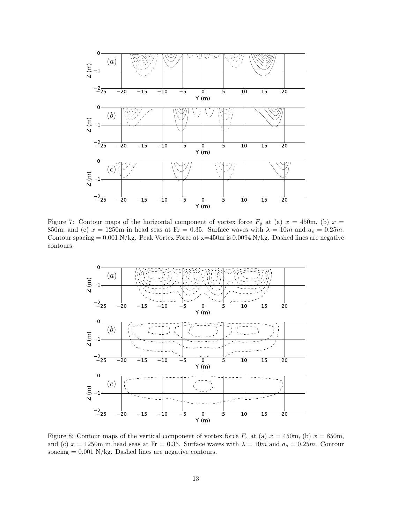<span id="page-12-0"></span>

Figure 7: Contour maps of the horizontal component of vortex force  $F_y$  at (a)  $x = 450$ m, (b)  $x =$ 850m, and (c)  $x = 1250$ m in head seas at Fr = 0.35. Surface waves with  $\lambda = 10m$  and  $a_s = 0.25m$ . Contour spacing  $= 0.001$  N/kg. Peak Vortex Force at  $x=450$ m is 0.0094 N/kg. Dashed lines are negative contours.

<span id="page-12-1"></span>

Figure 8: Contour maps of the vertical component of vortex force  $F_z$  at (a)  $x = 450$ m, (b)  $x = 850$ m, and (c)  $x = 1250$ m in head seas at Fr = 0.35. Surface waves with  $\lambda = 10m$  and  $a_s = 0.25m$ . Contour spacing  $= 0.001$  N/kg. Dashed lines are negative contours.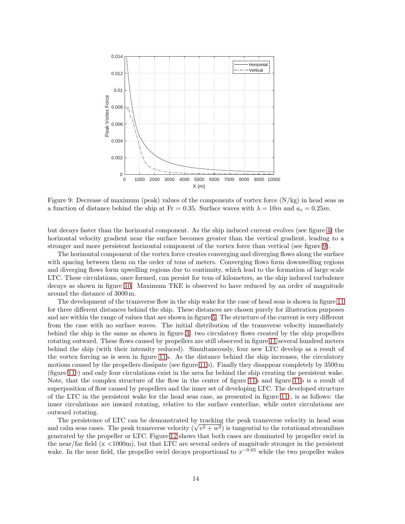<span id="page-13-0"></span>

Figure 9: Decrease of maximum (peak) values of the components of vortex force (N/kg) in head seas as a function of distance behind the ship at Fr = 0.35. Surface waves with  $\lambda = 10m$  and  $a_s = 0.25m$ .

but decays faster than the horizontal component. As the ship induced current evolves (see figure [4\)](#page-9-0) the horizontal velocity gradient near the surface becomes greater than the vertical gradient, leading to a stronger and more persistent horizontal component of the vortex force than vertical (see figure [9\)](#page-13-0).

The horizontal component of the vortex force creates converging and diverging flows along the surface with spacing between them on the order of tens of meters. Converging flows form downwelling regions and diverging flows form upwelling regions due to continuity, which lead to the formation of large scale LTC. These circulations, once formed, can persist for tens of kilometers, as the ship induced turbulence decays as shown in figure [10.](#page-14-0) Maximum TKE is observed to have reduced by an order of magnitude around the distance of 3000 m.

The development of the transverse flow in the ship wake for the case of head seas is shown in figure [11](#page-15-0) for three different distances behind the ship. These distances are chosen purely for illustration purposes and are within the range of values that are shown in figure [5.](#page-10-0) The structure of the current is very different from the case with no surface waves. The initial distribution of the transverse velocity immediately behind the ship is the same as shown in figure [3:](#page-7-0) two circulatory flows created by the ship propellers rotating outward. These flows caused by propellers are still observed in figure [11](#page-15-0) several hundred meters behind the ship (with their intensity reduced). Simultaneously, four new LTC develop as a result of the vortex forcing as is seen in figure [11a](#page-15-0). As the distance behind the ship increases, the circulatory motions caused by the propellers dissipate (see figure [11b](#page-15-0)). Finally they disappear completely by 3500 m (figure [11c](#page-15-0)) and only four circulations exist in the area far behind the ship creating the persistent wake. Note, that the complex structure of the flow in the center of figure [11a](#page-15-0) and figure [11b](#page-15-0) is a result of superposition of flow caused by propellers and the inner set of developing LTC. The developed structure of the LTC in the persistent wake for the head seas case, as presented in figure [11c](#page-15-0), is as follows: the inner circulations are inward rotating, relative to the surface centerline, while outer circulations are outward rotating.

The persistence of LTC can be demonstrated by tracking the peak transverse velocity in head seas and calm seas cases. The peak transverse velocity  $(\sqrt{v^2 + w^2})$  is tangential to the rotational streamlines generated by the propeller or LTC. Figure [12](#page-16-0) shows that both cases are dominated by propeller swirl in the near/far field (x <1000m), but that LTC are several orders of magnitude stronger in the persistent wake. In the near field, the propeller swirl decays proportional to  $x^{-0.65}$  while the two propeller wakes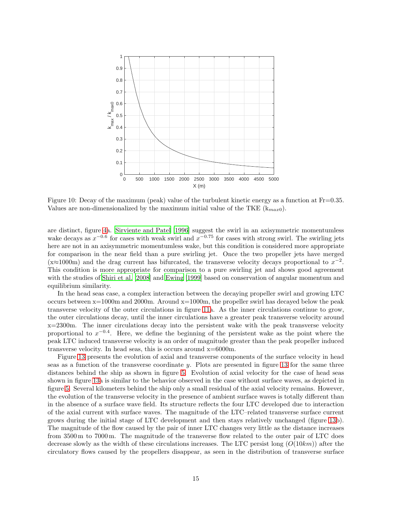<span id="page-14-0"></span>

Figure 10: Decay of the maximum (peak) value of the turbulent kinetic energy as a function at Fr=0.35. Values are non-dimensionalized by the maximum initial value of the TKE  $(k_{max0})$ .

are distinct, figure [4a](#page-9-0). [Sirviente and Patel \[1996\]](#page-26-10) suggest the swirl in an axisymmetric momentumless wake decays as  $x^{-0.6}$  for cases with weak swirl and  $x^{-0.75}$  for cases with strong swirl. The swirling jets here are not in an axisymmetric momentumless wake, but this condition is considered more appropriate for comparison in the near field than a pure swirling jet. Once the two propeller jets have merged  $(x \approx 1000 \text{m})$  and the drag current has bifurcated, the transverse velocity decays proportional to  $x^{-2}$ . This condition is more appropriate for comparison to a pure swirling jet and shows good agreement with the studies of [Shiri et al. \[2008\]](#page-26-11) and [Ewing \[1999](#page-24-10)] based on conservation of angular momentum and equilibrium similarity.

In the head seas case, a complex interaction between the decaying propeller swirl and growing LTC occurs between x=1000m and 2000m. Around x=1000m, the propeller swirl has decayed below the peak transverse velocity of the outer circulations in figure [11a](#page-15-0). As the inner circulations continue to grow, the outer circulations decay, until the inner circulations have a greater peak transverse velocity around  $x=2300$ m. The inner circulations decay into the persistent wake with the peak transverse velocity proportional to  $x^{-0.4}$ . Here, we define the beginning of the persistent wake as the point where the peak LTC induced transverse velocity is an order of magnitude greater than the peak propeller induced transverse velocity. In head seas, this is occurs around x=6000m.

Figure [13](#page-17-0) presents the evolution of axial and transverse components of the surface velocity in head seas as a function of the transverse coordinate  $y$ . Plots are presented in figure [13](#page-17-0) for the same three distances behind the ship as shown in figure [5.](#page-10-0) Evolution of axial velocity for the case of head seas shown in figure [13a](#page-17-0) is similar to the behavior observed in the case without surface waves, as depicted in figure [5.](#page-10-0) Several kilometers behind the ship only a small residual of the axial velocity remains. However, the evolution of the transverse velocity in the presence of ambient surface waves is totally different than in the absence of a surface wave field. Its structure reflects the four LTC developed due to interaction of the axial current with surface waves. The magnitude of the LTC–related transverse surface current grows during the initial stage of LTC development and then stays relatively unchanged (figure [13b](#page-17-0)). The magnitude of the flow caused by the pair of inner LTC changes very little as the distance increases from 3500 m to 7000 m. The magnitude of the transverse flow related to the outer pair of LTC does decrease slowly as the width of these circulations increases. The LTC persist long  $(O(10km))$  after the circulatory flows caused by the propellers disappear, as seen in the distribution of transverse surface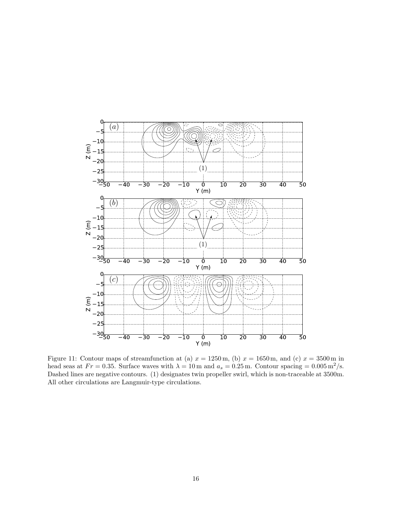<span id="page-15-0"></span>

Figure 11: Contour maps of streamfunction at (a)  $x = 1250$  m, (b)  $x = 1650$  m, and (c)  $x = 3500$  m in head seas at  $Fr = 0.35$ . Surface waves with  $\lambda = 10$  m and  $a_s = 0.25$  m. Contour spacing  $= 0.005 \,\mathrm{m}^2/\mathrm{s}$ . Dashed lines are negative contours. (1) designates twin propeller swirl, which is non-traceable at 3500m. All other circulations are Langmuir-type circulations.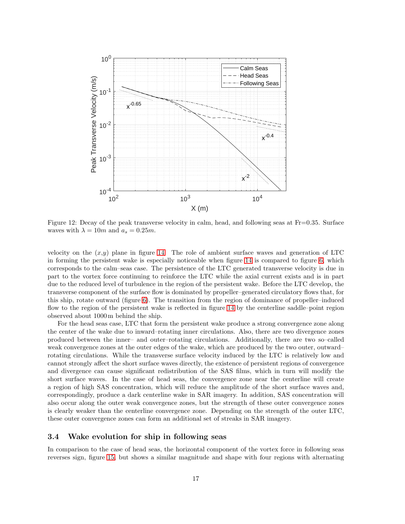<span id="page-16-0"></span>

Figure 12: Decay of the peak transverse velocity in calm, head, and following seas at Fr=0.35. Surface waves with  $\lambda = 10m$  and  $a_s = 0.25m$ .

velocity on the  $(x,y)$  plane in figure [14.](#page-17-1) The role of ambient surface waves and generation of LTC in forming the persistent wake is especially noticeable when figure [14](#page-17-1) is compared to figure [6,](#page-10-1) which corresponds to the calm–seas case. The persistence of the LTC generated transverse velocity is due in part to the vortex force continuing to reinforce the LTC while the axial current exists and is in part due to the reduced level of turbulence in the region of the persistent wake. Before the LTC develop, the transverse component of the surface flow is dominated by propeller–generated circulatory flows that, for this ship, rotate outward (figure [6\)](#page-10-1). The transition from the region of dominance of propeller–induced flow to the region of the persistent wake is reflected in figure [14](#page-17-1) by the centerline saddle–point region observed about 1000m behind the ship.

For the head seas case, LTC that form the persistent wake produce a strong convergence zone along the center of the wake due to inward–rotating inner circulations. Also, there are two divergence zones produced between the inner– and outer–rotating circulations. Additionally, there are two so–called weak convergence zones at the outer edges of the wake, which are produced by the two outer, outward– rotating circulations. While the transverse surface velocity induced by the LTC is relatively low and cannot strongly affect the short surface waves directly, the existence of persistent regions of convergence and divergence can cause significant redistribution of the SAS films, which in turn will modify the short surface waves. In the case of head seas, the convergence zone near the centerline will create a region of high SAS concentration, which will reduce the amplitude of the short surface waves and, correspondingly, produce a dark centerline wake in SAR imagery. In addition, SAS concentration will also occur along the outer weak convergence zones, but the strength of these outer convergence zones is clearly weaker than the centerline convergence zone. Depending on the strength of the outer LTC, these outer convergence zones can form an additional set of streaks in SAR imagery.

#### 3.4 Wake evolution for ship in following seas

In comparison to the case of head seas, the horizontal component of the vortex force in following seas reverses sign, figure [15,](#page-18-0) but shows a similar magnitude and shape with four regions with alternating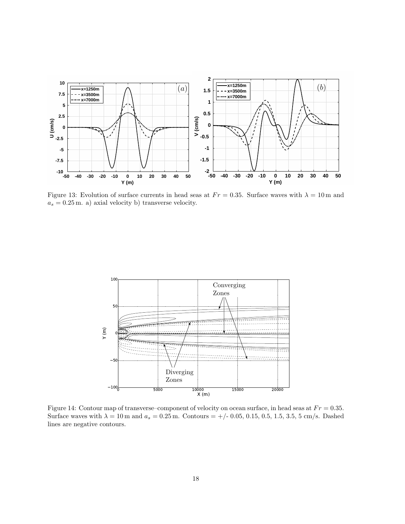<span id="page-17-0"></span>

Figure 13: Evolution of surface currents in head seas at  $Fr = 0.35$ . Surface waves with  $\lambda = 10$  m and  $a_s = 0.25$  m. a) axial velocity b) transverse velocity.

<span id="page-17-1"></span>

Figure 14: Contour map of transverse–component of velocity on ocean surface, in head seas at  $Fr = 0.35$ . Surface waves with  $\lambda = 10 \,\text{m}$  and  $a_s = 0.25 \,\text{m}$ . Contours = +/- 0.05, 0.15, 0.5, 1.5, 3.5, 5 cm/s. Dashed lines are negative contours.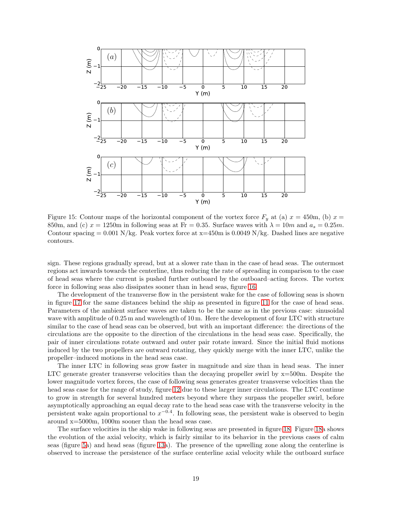<span id="page-18-0"></span>

Figure 15: Contour maps of the horizontal component of the vortex force  $F_y$  at (a)  $x = 450$ m, (b)  $x =$ 850m, and (c)  $x = 1250$ m in following seas at Fr = 0.35. Surface waves with  $\lambda = 10m$  and  $a_s = 0.25m$ . Contour spacing  $= 0.001$  N/kg. Peak vortex force at  $x=450$ m is 0.0049 N/kg. Dashed lines are negative contours.

sign. These regions gradually spread, but at a slower rate than in the case of head seas. The outermost regions act inwards towards the centerline, thus reducing the rate of spreading in comparison to the case of head seas where the current is pushed further outboard by the outboard–acting forces. The vortex force in following seas also dissipates sooner than in head seas, figure [16.](#page-19-0)

The development of the transverse flow in the persistent wake for the case of following seas is shown in figure [17](#page-20-0) for the same distances behind the ship as presented in figure [11](#page-15-0) for the case of head seas. Parameters of the ambient surface waves are taken to be the same as in the previous case: sinusoidal wave with amplitude of 0.25 m and wavelength of 10 m. Here the development of four LTC with structure similar to the case of head seas can be observed, but with an important difference: the directions of the circulations are the opposite to the direction of the circulations in the head seas case. Specifically, the pair of inner circulations rotate outward and outer pair rotate inward. Since the initial fluid motions induced by the two propellers are outward rotating, they quickly merge with the inner LTC, unlike the propeller–induced motions in the head seas case.

The inner LTC in following seas grow faster in magnitude and size than in head seas. The inner LTC generate greater transverse velocities than the decaying propeller swirl by  $x=500$ m. Despite the lower magnitude vortex forces, the case of following seas generates greater transverse velocities than the head seas case for the range of study, figure [12](#page-16-0) due to these larger inner circulations. The LTC continue to grow in strength for several hundred meters beyond where they surpass the propeller swirl, before asymptotically approaching an equal decay rate to the head seas case with the transverse velocity in the persistent wake again proportional to  $x^{-0.4}$ . In following seas, the persistent wake is observed to begin around x=5000m, 1000m sooner than the head seas case.

The surface velocities in the ship wake in following seas are presented in figure [18.](#page-20-1) Figure [18a](#page-20-1) shows the evolution of the axial velocity, which is fairly similar to its behavior in the previous cases of calm seas (figure [5a](#page-10-0)) and head seas (figure [13a](#page-17-0)). The presence of the upwelling zone along the centerline is observed to increase the persistence of the surface centerline axial velocity while the outboard surface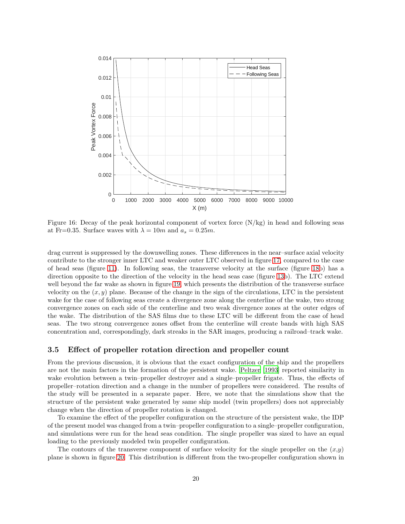<span id="page-19-0"></span>

Figure 16: Decay of the peak horizontal component of vortex force  $(N/kg)$  in head and following seas at Fr=0.35. Surface waves with  $\lambda = 10m$  and  $a_s = 0.25m$ .

drag current is suppressed by the downwelling zones. These differences in the near–surface axial velocity contribute to the stronger inner LTC and weaker outer LTC observed in figure [17,](#page-20-0) compared to the case of head seas (figure [11\)](#page-15-0). In following seas, the transverse velocity at the surface (figure [18b](#page-20-1)) has a direction opposite to the direction of the velocity in the head seas case (figure [13b](#page-17-0)). The LTC extend well beyond the far wake as shown in figure [19,](#page-21-0) which presents the distribution of the transverse surface velocity on the  $(x, y)$  plane. Because of the change in the sign of the circulations, LTC in the persistent wake for the case of following seas create a divergence zone along the centerline of the wake, two strong convergence zones on each side of the centerline and two weak divergence zones at the outer edges of the wake. The distribution of the SAS films due to these LTC will be different from the case of head seas. The two strong convergence zones offset from the centerline will create bands with high SAS concentration and, correspondingly, dark streaks in the SAR images, producing a railroad–track wake.

#### 3.5 Effect of propeller rotation direction and propeller count

From the previous discussion, it is obvious that the exact configuration of the ship and the propellers are not the main factors in the formation of the persistent wake. [Peltzer \[1993](#page-26-3)] reported similarity in wake evolution between a twin–propeller destroyer and a single–propeller frigate. Thus, the effects of propeller–rotation direction and a change in the number of propellers were considered. The results of the study will be presented in a separate paper. Here, we note that the simulations show that the structure of the persistent wake generated by same ship model (twin propellers) does not appreciably change when the direction of propeller rotation is changed.

To examine the effect of the propeller configuration on the structure of the persistent wake, the IDP of the present model was changed from a twin–propeller configuration to a single–propeller configuration, and simulations were run for the head seas condition. The single propeller was sized to have an equal loading to the previously modeled twin propeller configuration.

The contours of the transverse component of surface velocity for the single propeller on the  $(x,y)$ plane is shown in figure [20.](#page-22-0) This distribution is different from the two-propeller configuration shown in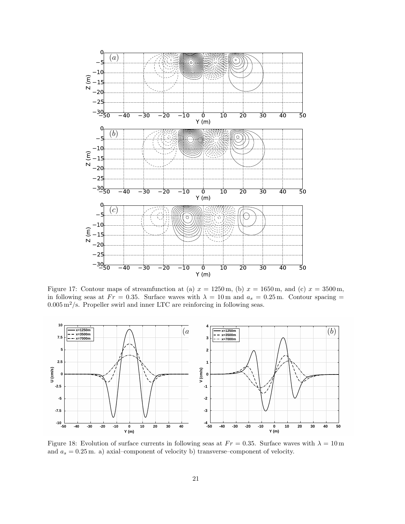<span id="page-20-0"></span>

Figure 17: Contour maps of streamfunction at (a)  $x = 1250$  m, (b)  $x = 1650$  m, and (c)  $x = 3500$  m, in following seas at  $Fr = 0.35$ . Surface waves with  $\lambda = 10$  m and  $a_s = 0.25$  m. Contour spacing =  $0.005\,\mathrm{m^2/s}.$  Propeller swirl and inner LTC are reinforcing in following seas.

<span id="page-20-1"></span>

Figure 18: Evolution of surface currents in following seas at  $Fr = 0.35$ . Surface waves with  $\lambda = 10 \,\text{m}$ and  $a_s = 0.25$  m. a) axial–component of velocity b) transverse–component of velocity.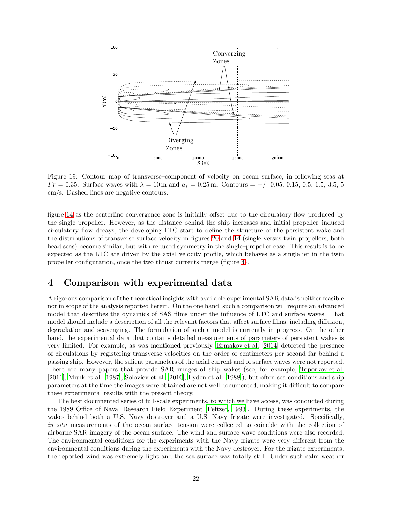<span id="page-21-0"></span>

Figure 19: Contour map of transverse–component of velocity on ocean surface, in following seas at  $Fr = 0.35$ . Surface waves with  $\lambda = 10$  m and  $a_s = 0.25$  m. Contours  $= +/-0.05, 0.15, 0.5, 1.5, 3.5, 5$ cm/s. Dashed lines are negative contours.

figure [14](#page-17-1) as the centerline convergence zone is initially offset due to the circulatory flow produced by the single propeller. However, as the distance behind the ship increases and initial propeller–induced circulatory flow decays, the developing LTC start to define the structure of the persistent wake and the distributions of transverse surface velocity in figures [20](#page-22-0) and [14](#page-17-1) (single versus twin propellers, both head seas) become similar, but with reduced symmetry in the single–propeller case. This result is to be expected as the LTC are driven by the axial velocity profile, which behaves as a single jet in the twin propeller configuration, once the two thrust currents merge (figure [4\)](#page-9-0).

### 4 Comparison with experimental data

A rigorous comparison of the theoretical insights with available experimental SAR data is neither feasible nor in scope of the analysis reported herein. On the one hand, such a comparison will require an advanced model that describes the dynamics of SAS films under the influence of LTC and surface waves. That model should include a description of all the relevant factors that affect surface films, including diffusion, degradation and scavenging. The formulation of such a model is currently in progress. On the other hand, the experimental data that contains detailed measurements of parameters of persistent wakes is very limited. For example, as was mentioned previously, [Ermakov et al. \[2014\]](#page-24-1) detected the presence of circulations by registering transverse velocities on the order of centimeters per second far behind a passing ship. However, the salient parameters of the axial current and of surface waves were not reported. There are many papers that provide SAR images of ship wakes (see, for example, [Toporkov et al.](#page-26-12) [\[2011\]](#page-26-12), [Munk et al. \[1987](#page-25-0)], [Soloviev et al. \[2010](#page-26-13)], [Lyden et al. \[1988](#page-25-13)]), but often sea conditions and ship parameters at the time the images were obtained are not well documented, making it difficult to compare these experimental results with the present theory.

The best documented series of full-scale experiments, to which we have access, was conducted during the 1989 Office of Naval Research Field Experiment [\[Peltzer](#page-26-3), [1993\]](#page-26-3). During these experiments, the wakes behind both a U.S. Navy destroyer and a U.S. Navy frigate were investigated. Specifically, in situ measurements of the ocean surface tension were collected to coincide with the collection of airborne SAR imagery of the ocean surface. The wind and surface wave conditions were also recorded. The environmental conditions for the experiments with the Navy frigate were very different from the environmental conditions during the experiments with the Navy destroyer. For the frigate experiments, the reported wind was extremely light and the sea surface was totally still. Under such calm weather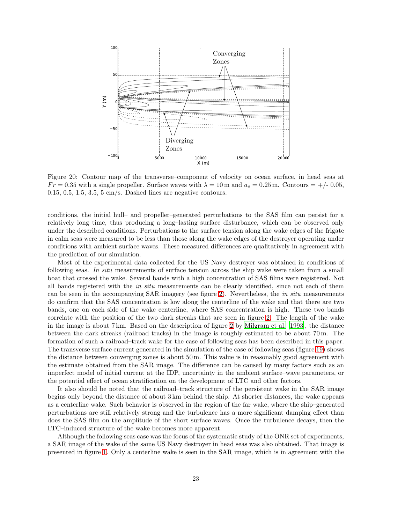<span id="page-22-0"></span>

Figure 20: Contour map of the transverse–component of velocity on ocean surface, in head seas at  $Fr = 0.35$  with a single propeller. Surface waves with  $\lambda = 10$  m and  $a_s = 0.25$  m. Contours  $= +/- 0.05$ ,  $0.15, 0.5, 1.5, 3.5, 5$  cm/s. Dashed lines are negative contours.

conditions, the initial hull– and propeller–generated perturbations to the SAS film can persist for a relatively long time, thus producing a long–lasting surface disturbance, which can be observed only under the described conditions. Perturbations to the surface tension along the wake edges of the frigate in calm seas were measured to be less than those along the wake edges of the destroyer operating under conditions with ambient surface waves. These measured differences are qualitatively in agreement with the prediction of our simulation.

Most of the experimental data collected for the US Navy destroyer was obtained in conditions of following seas. In situ measurements of surface tension across the ship wake were taken from a small boat that crossed the wake. Several bands with a high concentration of SAS films were registered. Not all bands registered with the in situ measurements can be clearly identified, since not each of them can be seen in the accompanying SAR imagery (see figure [2\)](#page-1-1). Nevertheless, the *in situ* measurements do confirm that the SAS concentration is low along the centerline of the wake and that there are two bands, one on each side of the wake centerline, where SAS concentration is high. These two bands correlate with the position of the two dark streaks that are seen in figure [2.](#page-1-1) The length of the wake in the image is about 7 km. Based on the description of figure [2](#page-1-1) by [Milgram et al. \[1993\]](#page-25-3), the distance between the dark streaks (railroad tracks) in the image is roughly estimated to be about 70 m. The formation of such a railroad–track wake for the case of following seas has been described in this paper. The transverse surface current generated in the simulation of the case of following seas (figure [19\)](#page-21-0) shows the distance between converging zones is about 50 m. This value is in reasonably good agreement with the estimate obtained from the SAR image. The difference can be caused by many factors such as an imperfect model of initial current at the IDP, uncertainty in the ambient surface–wave parameters, or the potential effect of ocean stratification on the development of LTC and other factors.

It also should be noted that the railroad–track structure of the persistent wake in the SAR image begins only beyond the distance of about 3 km behind the ship. At shorter distances, the wake appears as a centerline wake. Such behavior is observed in the region of the far wake, where the ship–generated perturbations are still relatively strong and the turbulence has a more significant damping effect than does the SAS film on the amplitude of the short surface waves. Once the turbulence decays, then the LTC–induced structure of the wake becomes more apparent.

Although the following seas case was the focus of the systematic study of the ONR set of experiments, a SAR image of the wake of the same US Navy destroyer in head seas was also obtained. That image is presented in figure [1.](#page-1-0) Only a centerline wake is seen in the SAR image, which is in agreement with the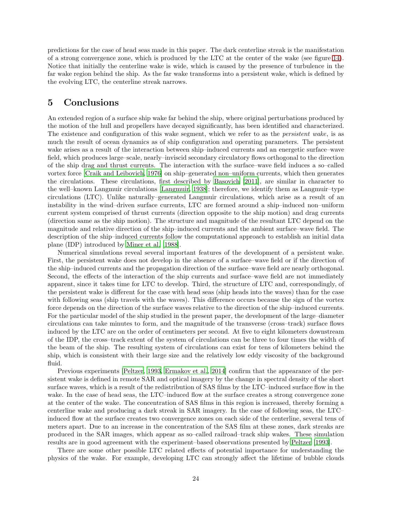predictions for the case of head seas made in this paper. The dark centerline streak is the manifestation of a strong convergence zone, which is produced by the LTC at the center of the wake (see figure [14\)](#page-17-1). Notice that initially the centerline wake is wide, which is caused by the presence of turbulence in the far wake region behind the ship. As the far wake transforms into a persistent wake, which is defined by the evolving LTC, the centerline streak narrows.

### 5 Conclusions

An extended region of a surface ship wake far behind the ship, where original perturbations produced by the motion of the hull and propellers have decayed significantly, has been identified and characterized. The existence and configuration of this wake segment, which we refer to as the *persistent wake*, is as much the result of ocean dynamics as of ship configuration and operating parameters. The persistent wake arises as a result of the interaction between ship–induced currents and an energetic surface–wave field, which produces large–scale, nearly–inviscid secondary circulatory flows orthogonal to the direction of the ship drag and thrust currents. The interaction with the surface–wave field induces a so–called vortex force [\[Craik and Leibovich](#page-24-3), [1976\]](#page-24-3) on ship–generated non–uniform currents, which then generates the circulations. These circulations, first described by [Basovich \[2011\]](#page-24-2), are similar in character to the well–known Langmuir circulations [\[Langmuir, 1938\]](#page-25-5); therefore, we identify them as Langmuir–type circulations (LTC). Unlike naturally–generated Langmuir circulations, which arise as a result of an instability in the wind–driven surface currents, LTC are formed around a ship–induced non–uniform current system comprised of thrust currents (direction opposite to the ship motion) and drag currents (direction same as the ship motion). The structure and magnitude of the resultant LTC depend on the magnitude and relative direction of the ship–induced currents and the ambient surface–wave field. The description of the ship–induced currents follow the computational approach to establish an initial data plane (IDP) introduced by [Miner et al. \[1988\]](#page-25-12).

Numerical simulations reveal several important features of the development of a persistent wake. First, the persistent wake does not develop in the absence of a surface–wave field or if the direction of the ship–induced currents and the propagation direction of the surface–wave field are nearly orthogonal. Second, the effects of the interaction of the ship currents and surface–wave field are not immediately apparent, since it takes time for LTC to develop. Third, the structure of LTC and, correspondingly, of the persistent wake is different for the case with head seas (ship heads into the waves) than for the case with following seas (ship travels with the waves). This difference occurs because the sign of the vortex force depends on the direction of the surface waves relative to the direction of the ship–induced currents. For the particular model of the ship studied in the present paper, the development of the large–diameter circulations can take minutes to form, and the magnitude of the transverse (cross–track) surface flows induced by the LTC are on the order of centimeters per second. At five to eight kilometers downstream of the IDP, the cross–track extent of the system of circulations can be three to four times the width of the beam of the ship. The resulting system of circulations can exist for tens of kilometers behind the ship, which is consistent with their large size and the relatively low eddy viscosity of the background fluid.

Previous experiments [\[Peltzer, 1993](#page-26-3), [Ermakov et al., 2014\]](#page-24-1) confirm that the appearance of the persistent wake is defined in remote SAR and optical imagery by the change in spectral density of the short surface waves, which is a result of the redistribution of SAS films by the LTC–induced surface flow in the wake. In the case of head seas, the LTC–induced flow at the surface creates a strong convergence zone at the center of the wake. The concentration of SAS films in this region is increased, thereby forming a centerline wake and producing a dark streak in SAR imagery. In the case of following seas, the LTC– induced flow at the surface creates two convergence zones on each side of the centerline, several tens of meters apart. Due to an increase in the concentration of the SAS film at these zones, dark streaks are produced in the SAR images, which appear as so–called railroad–track ship wakes. These simulation results are in good agreement with the experiment–based observations presented by [Peltzer \[1993\]](#page-26-3).

There are some other possible LTC related effects of potential importance for understanding the physics of the wake. For example, developing LTC can strongly affect the lifetime of bubble clouds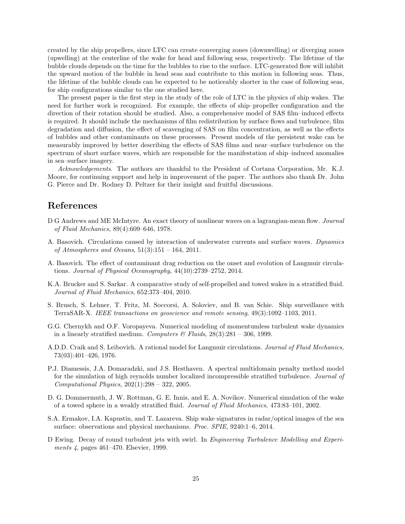created by the ship propellers, since LTC can create converging zones (downwelling) or diverging zones (upwelling) at the centerline of the wake for head and following seas, respectively. The lifetime of the bubble clouds depends on the time for the bubbles to rise to the surface. LTC-generated flow will inhibit the upward motion of the bubble in head seas and contribute to this motion in following seas. Thus, the lifetime of the bubble clouds can be expected to be noticeably shorter in the case of following seas, for ship configurations similar to the one studied here.

The present paper is the first step in the study of the role of LTC in the physics of ship wakes. The need for further work is recognized. For example, the effects of ship–propeller configuration and the direction of their rotation should be studied. Also, a comprehensive model of SAS film–induced effects is required. It should include the mechanisms of film redistribution by surface flows and turbulence, film degradation and diffusion, the effect of scavenging of SAS on film concentration, as well as the effects of bubbles and other contaminants on these processes. Present models of the persistent wake can be measurably improved by better describing the effects of SAS films and near–surface turbulence on the spectrum of short surface waves, which are responsible for the manifestation of ship–induced anomalies in sea–surface imagery.

Acknowledgements. The authors are thankful to the President of Cortana Corporation, Mr. K.J. Moore, for continuing support and help in improvement of the paper. The authors also thank Dr. John G. Pierce and Dr. Rodney D. Peltzer for their insight and fruitful discussions.

### References

- <span id="page-24-9"></span>D G Andrews and ME McIntyre. An exact theory of nonlinear waves on a lagrangian-mean flow. Journal of Fluid Mechanics, 89(4):609–646, 1978.
- <span id="page-24-2"></span>A. Basovich. Circulations caused by interaction of underwater currents and surface waves. Dynamics of Atmospheres and Oceans,  $51(3):151 - 164$ , 2011.
- <span id="page-24-4"></span>A. Basovich. The effect of contaminant drag reduction on the onset and evolution of Langmuir circulations. Journal of Physical Oceanography, 44(10):2739–2752, 2014.
- <span id="page-24-8"></span>K.A. Brucker and S. Sarkar. A comparative study of self-propelled and towed wakes in a stratified fluid. Journal of Fluid Mechanics, 652:373–404, 2010.
- <span id="page-24-0"></span>S. Brusch, S. Lehner, T. Fritz, M. Soccorsi, A. Soloviev, and B. van Schie. Ship surveillance with TerraSAR-X. IEEE transactions on geoscience and remote sensing, 49(3):1092–1103, 2011.
- <span id="page-24-5"></span>G.G. Chernykh and O.F. Voropayeva. Numerical modeling of momentumless turbulent wake dynamics in a linearly stratified medium. Computers  $\mathcal C$  Fluids, 28(3):281 – 306, 1999.
- <span id="page-24-3"></span>A.D.D. Craik and S. Leibovich. A rational model for Langmuir circulations. Journal of Fluid Mechanics, 73(03):401–426, 1976.
- <span id="page-24-7"></span>P.J. Diamessis, J.A. Domaradzki, and J.S. Hesthaven. A spectral multidomain penalty method model for the simulation of high reynolds number localized incompressible stratified turbulence. Journal of Computational Physics, 202(1):298 – 322, 2005.
- <span id="page-24-6"></span>D. G. Dommermuth, J. W. Rottman, G. E. Innis, and E. A. Novikov. Numerical simulation of the wake of a towed sphere in a weakly stratified fluid. Journal of Fluid Mechanics, 473:83–101, 2002.
- <span id="page-24-1"></span>S.A. Ermakov, I.A. Kapustin, and T. Lazareva. Ship wake signatures in radar/optical images of the sea surface: observations and physical mechanisms. Proc. SPIE, 9240:1–6, 2014.
- <span id="page-24-10"></span>D Ewing. Decay of round turbulent jets with swirl. In *Engineering Turbulence Modelling and Experi*ments 4, pages 461–470. Elsevier, 1999.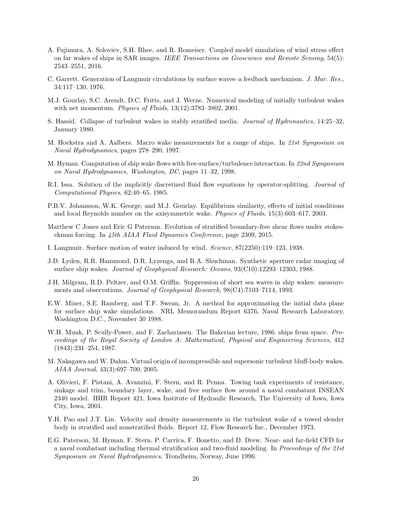- <span id="page-25-2"></span>A. Fujimura, A. Soloviev, S.H. Rhee, and R. Romeiser. Coupled model simulation of wind stress effect on far wakes of ships in SAR images. IEEE Transactions on Geoscience and Remote Sensing, 54(5): 2543–2551, 2016.
- <span id="page-25-6"></span>C. Garrett. Generation of Langmuir circulations by surface waves–a feedback mechanism. J. Mar. Res., 34:117–130, 1976.
- <span id="page-25-9"></span>M.J. Gourlay, S.C. Arendt, D.C. Fritts, and J. Werne. Numerical modeling of initially turbulent wakes with net momentum. Physics of Fluids, 13(12):3783–3802, 2001.
- <span id="page-25-8"></span>S. Hassid. Collapse of turbulent wakes in stably stratified media. Journal of Hydronautics, 14:25–32, January 1980.
- <span id="page-25-17"></span>M. Hoekstra and A. Aalbers. Macro wake measurements for a range of ships. In 21st Symposium on Naval Hydrodynamics, pages 278–290, 1997.
- <span id="page-25-4"></span>M. Hyman. Computation of ship wake flows with free-surface/turbulence interaction. In 22nd Symposium on Naval Hydrodynamics, Washington, DC, pages 11–32, 1998.
- <span id="page-25-11"></span>R.I. Issa. Solution of the implicitly discretized fluid flow equations by operator-splitting. Journal of Computational Physics, 62:40–65, 1985.
- <span id="page-25-15"></span>P.B.V. Johansson, W.K. George, and M.J. Gourlay. Equilibrium similarity, effects of initial conditions and local Reynolds number on the axisymmetric wake. Physics of Fluids, 15(3):603–617, 2003.
- <span id="page-25-10"></span>Matthew C Jones and Eric G Paterson. Evolution of stratified boundary-free shear flows under stokesekman forcing. In 45th AIAA Fluid Dynamics Conference, page 2309, 2015.
- <span id="page-25-5"></span>I. Langmuir. Surface motion of water induced by wind. Science, 87(2250):119–123, 1938.
- <span id="page-25-13"></span>J.D. Lyden, R.R. Hammond, D.R. Lyzenga, and R.A. Shuchman. Synthetic aperture radar imaging of surface ship wakes. Journal of Geophysical Research: Oceans, 93(C10):12293–12303, 1988.
- <span id="page-25-3"></span>J.H. Milgram, R.D. Peltzer, and O.M. Griffin. Suppression of short sea waves in ship wakes: measurements and observations. Journal of Geophysical Research,  $98(C4):7103-7114$ , 1993.
- <span id="page-25-12"></span>E.W. Miner, S.E. Ramberg, and T.F. Swean, Jr. A method for approximating the initial data plane for surface ship wake simulations. NRL Memorandum Report 6376, Naval Research Laboratory, Washington D.C., November 30 1988.
- <span id="page-25-0"></span>W.H. Munk, P. Scully-Power, and F. Zachariasen. The Bakerian lecture, 1986. ships from space. Proceedings of the Royal Society of London A: Mathematical, Physical and Engineering Sciences, 412 (1843):231–254, 1987.
- <span id="page-25-14"></span>M. Nakagawa and W. Dahm. Virtual origin of incompressible and supersonic turbulent bluff-body wakes. AIAA Journal, 43(3):697–700, 2005.
- <span id="page-25-16"></span>A. Olivieri, F. Pistani, A. Avanzini, F. Stern, and R. Penna. Towing tank experiments of resistance, sinkage and trim, boundary layer, wake, and free surface flow around a naval combatant INSEAN 2340 model. IIHR Report 421, Iowa Institute of Hydraulic Research, The University of Iowa, Iowa City, Iowa, 2001.
- <span id="page-25-7"></span>Y.H. Pao and J.T. Lin. Velocity and density measurements in the turbulent wake of a towed slender body in stratified and nonstratified fluids. Report 12, Flow Research Inc., December 1973.
- <span id="page-25-1"></span>E.G. Paterson, M. Hyman, F. Stern, P. Carrica, F. Bonetto, and D. Drew. Near- and far-field CFD for a naval combatant including thermal stratification and two-fluid modeling. In Proceedings of the 21st Symposium on Naval Hydrodynamics, Trondheim, Norway, June 1996.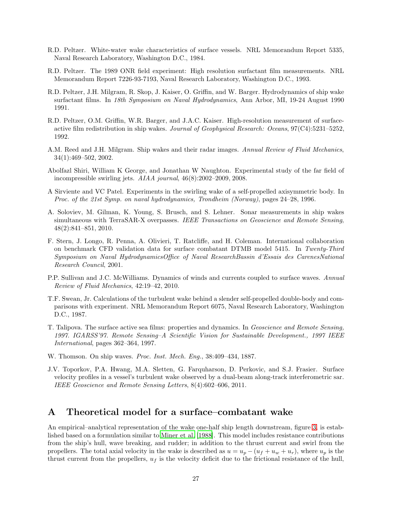- <span id="page-26-2"></span>R.D. Peltzer. White-water wake characteristics of surface vessels. NRL Memorandum Report 5335, Naval Research Laboratory, Washington D.C., 1984.
- <span id="page-26-3"></span>R.D. Peltzer. The 1989 ONR field experiment: High resolution surfactant film measurements. NRL Memorandum Report 7226-93-7193, Naval Research Laboratory, Washington D.C., 1993.
- <span id="page-26-6"></span>R.D. Peltzer, J.H. Milgram, R. Skop, J. Kaiser, O. Griffin, and W. Barger. Hydrodynamics of ship wake surfactant films. In 18th Symposium on Naval Hydrodynamics, Ann Arbor, MI, 19-24 August 1990 1991.
- <span id="page-26-4"></span>R.D. Peltzer, O.M. Griffin, W.R. Barger, and J.A.C. Kaiser. High-resolution measurement of surfaceactive film redistribution in ship wakes. Journal of Geophysical Research: Oceans,  $97(C4):5231-5252$ , 1992.
- <span id="page-26-1"></span>A.M. Reed and J.H. Milgram. Ship wakes and their radar images. Annual Review of Fluid Mechanics, 34(1):469–502, 2002.
- <span id="page-26-11"></span>Abolfazl Shiri, William K George, and Jonathan W Naughton. Experimental study of the far field of incompressible swirling jets. AIAA journal, 46(8):2002–2009, 2008.
- <span id="page-26-10"></span>A Sirviente and VC Patel. Experiments in the swirling wake of a self-propelled axisymmetric body. In Proc. of the 21st Symp. on naval hydrodynamics, Trondheim (Norway), pages 24–28, 1996.
- <span id="page-26-13"></span>A. Soloviev, M. Gilman, K. Young, S. Brusch, and S. Lehner. Sonar measurements in ship wakes simultaneous with TerraSAR-X overpasses. IEEE Transactions on Geoscience and Remote Sensing, 48(2):841–851, 2010.
- <span id="page-26-7"></span>F. Stern, J. Longo, R. Penna, A. Olivieri, T. Ratcliffe, and H. Coleman. International collaboration on benchmark CFD validation data for surface combatant DTMB model 5415. In Twenty-Third Symposium on Naval HydrodynamicsOffice of Naval ResearchBassin d'Essais des CarenesNational Research Council, 2001.
- <span id="page-26-8"></span>P.P. Sullivan and J.C. McWilliams. Dynamics of winds and currents coupled to surface waves. Annual Review of Fluid Mechanics, 42:19–42, 2010.
- <span id="page-26-5"></span>T.F. Swean, Jr. Calculations of the turbulent wake behind a slender self-propelled double-body and comparisons with experiment. NRL Memorandum Report 6075, Naval Research Laboratory, Washington D.C., 1987.
- <span id="page-26-9"></span>T. Talipova. The surface active sea films: properties and dynamics. In Geoscience and Remote Sensing, 1997. IGARSS'97. Remote Sensing–A Scientific Vision for Sustainable Development., 1997 IEEE International, pages 362–364, 1997.
- <span id="page-26-0"></span>W. Thomson. On ship waves. *Proc. Inst. Mech. Eng.*, 38:409-434, 1887.
- <span id="page-26-12"></span>J.V. Toporkov, P.A. Hwang, M.A. Sletten, G. Farquharson, D. Perkovic, and S.J. Frasier. Surface velocity profiles in a vessel's turbulent wake observed by a dual-beam along-track interferometric sar. IEEE Geoscience and Remote Sensing Letters, 8(4):602–606, 2011.

### A Theoretical model for a surface–combatant wake

An empirical–analytical representation of the wake one-half ship length downstream, figure [3,](#page-7-0) is established based on a formulation similar to [Miner et al. \[1988](#page-25-12)]. This model includes resistance contributions from the ship's hull, wave breaking, and rudder; in addition to the thrust current and swirl from the propellers. The total axial velocity in the wake is described as  $u = u_p - (u_f + u_w + u_r)$ , where  $u_p$  is the thrust current from the propellers,  $u_f$  is the velocity deficit due to the frictional resistance of the hull,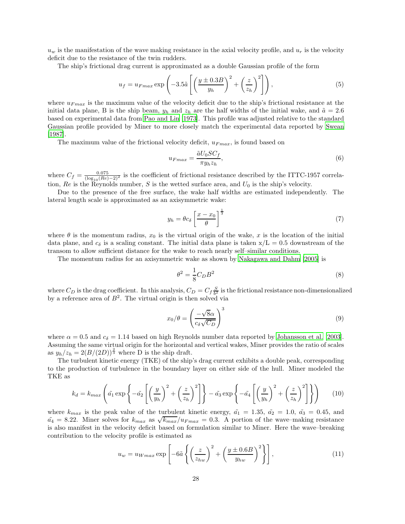$u_w$  is the manifestation of the wave making resistance in the axial velocity profile, and  $u_r$  is the velocity deficit due to the resistance of the twin rudders.

The ship's frictional drag current is approximated as a double Gaussian profile of the form

$$
u_f = u_{Fmax} \exp\left(-3.5\tilde{a}\left[\left(\frac{y \pm 0.3B}{y_h}\right)^2 + \left(\frac{z}{z_h}\right)^2\right]\right),\tag{5}
$$

where  $u_{Fmax}$  is the maximum value of the velocity deficit due to the ship's frictional resistance at the initial data plane, B is the ship beam,  $y_h$  and  $z_h$  are the half widths of the initial wake, and  $\tilde{a} = 2.6$ based on experimental data from [Pao and Lin \[1973\]](#page-25-7). This profile was adjusted relative to the standard Gaussian profile provided by Miner to more closely match the experimental data reported by [Swean](#page-26-5) [\[1987\]](#page-26-5).

The maximum value of the frictional velocity deficit,  $u_{Fmax}$ , is found based on

$$
u_{Fmax} = \frac{\tilde{a}U_0 SC_f}{\pi y_h z_h},\tag{6}
$$

where  $C_f = \frac{0.075}{(\log_{10}(Re)-2)^2}$  is the coefficient of frictional resistance described by the ITTC-1957 correlation,  $Re$  is the Reynolds number,  $S$  is the wetted surface area, and  $U_0$  is the ship's velocity.

Due to the presence of the free surface, the wake half widths are estimated independently. The lateral length scale is approximated as an axisymmetric wake:

$$
y_h = \theta c_\delta \left[ \frac{x - x_0}{\theta} \right]^{\frac{1}{3}} \tag{7}
$$

where  $\theta$  is the momentum radius,  $x_0$  is the virtual origin of the wake, x is the location of the initial data plane, and  $c_{\delta}$  is a scaling constant. The initial data plane is taken  $x/L = 0.5$  downstream of the transom to allow sufficient distance for the wake to reach nearly self–similar conditions.

The momentum radius for an axisymmetric wake as shown by [Nakagawa and Dahm \[2005](#page-25-14)] is

$$
\theta^2 = \frac{1}{8} C_D B^2 \tag{8}
$$

where  $C_D$  is the drag coefficient. In this analysis,  $C_D = C_f \frac{S}{b^2}$  is the frictional resistance non-dimensionalized by a reference area of  $B^2$ . The virtual origin is then solved via

$$
x_0/\theta = \left(\frac{-\sqrt{8}\alpha}{c_\delta\sqrt{C_D}}\right)^3\tag{9}
$$

where  $\alpha = 0.5$  and  $c_{\delta} = 1.14$  based on high Reynolds number data reported by [Johansson et al. \[2003\]](#page-25-15). Assuming the same virtual origin for the horizontal and vertical wakes, Miner provides the ratio of scales as  $y_h/z_h = 2(B/(2D))^{\frac{2}{3}}$  where D is the ship draft.

The turbulent kinetic energy (TKE) of the ship's drag current exhibits a double peak, corresponding to the production of turbulence in the boundary layer on either side of the hull. Miner modeled the TKE as

$$
k_d = k_{max} \left( \tilde{a}_1 \exp\left\{-\tilde{a}_2 \left[ \left(\frac{y}{y_h}\right)^2 + \left(\frac{z}{z_h}\right)^2 \right] \right\} - \tilde{a}_3 \exp\left\{-\tilde{a}_4 \left[ \left(\frac{y}{y_h}\right)^2 + \left(\frac{z}{z_h}\right)^2 \right] \right\} \right) \tag{10}
$$

where  $k_{max}$  is the peak value of the turbulent kinetic energy,  $\tilde{a}_1 = 1.35$ ,  $\tilde{a}_2 = 1.0$ ,  $\tilde{a}_3 = 0.45$ , and  $\tilde{a}_4 = 8.22$ . Miner solves for  $k_{max}$  as  $\sqrt{k_{max}}/u_{Fmax} = 0.3$ . A portion of the wave–making resistance is also manifest in the velocity deficit based on formulation similar to Miner. Here the wave–breaking contribution to the velocity profile is estimated as

$$
u_w = u_{Wmax} \exp\left[-6\tilde{a}\left\{ \left(\frac{z}{z_{hw}}\right)^2 + \left(\frac{y \pm 0.6B}{y_{hw}}\right)^2 \right\} \right],\tag{11}
$$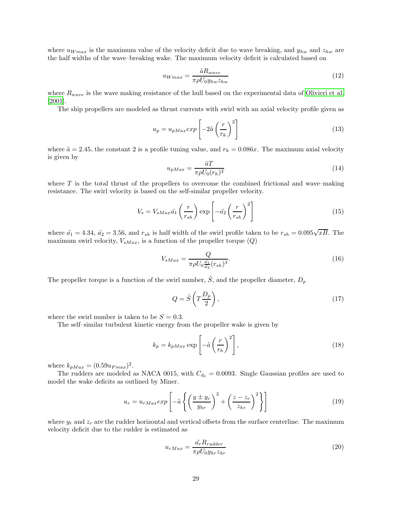where  $u_{Wmax}$  is the maximum value of the velocity deficit due to wave breaking, and  $y_{hw}$  and  $z_{hw}$  are the half widths of the wave–breaking wake. The maximum velocity deficit is calculated based on

$$
u_{Wmax} = \frac{\tilde{a}R_{wave}}{\pi \rho U_0 y_{hw} z_{hw}}\tag{12}
$$

where  $R_{wave}$  is the wave making resistance of the hull based on the experimental data of [Olivieri et al.](#page-25-16) [\[2001\]](#page-25-16).

The ship propellers are modeled as thrust currents with swirl with an axial velocity profile given as

$$
u_p = u_{pMax} exp\left[-2\tilde{a}\left(\frac{r}{r_h}\right)^2\right]
$$
\n(13)

where  $\tilde{a} = 2.45$ , the constant 2 is a profile tuning value, and  $r_h = 0.086x$ . The maximum axial velocity is given by

$$
u_{pMax} = \frac{\tilde{a}T}{\pi \rho U_0(r_h)^2}
$$
\n(14)

where  $T$  is the total thrust of the propellers to overcome the combined frictional and wave–making resistance. The swirl velocity is based on the self-similar propeller velocity.

$$
V_s = V_{sMax}\tilde{a_1}\left(\frac{r}{r_{sh}}\right) \exp\left[-\tilde{a_2}\left(\frac{r}{r_{sh}}\right)^2\right]
$$
 (15)

where  $\tilde{a_1} = 4.34$ ,  $\tilde{a_2} = 3.56$ , and  $r_{sh}$  is half width of the swirl profile taken to be  $r_{sh} = 0.095\sqrt{xB}$ . The maximum swirl velocity,  $V_{sMax}$ , is a function of the propeller torque  $(Q)$ 

$$
V_{sMax} = \frac{Q}{\pi \rho U_0 \frac{\tilde{a_1}}{\tilde{a_2}} (r_{sh})^3}.
$$
\n(16)

The propeller torque is a function of the swirl number,  $\tilde{S}$ , and the propeller diameter,  $D_p$ 

$$
Q = \tilde{S}\left(T\frac{D_p}{2}\right),\tag{17}
$$

where the swirl number is taken to be  $S = 0.3$ .

The self–similar turbulent kinetic energy from the propeller wake is given by

$$
k_p = k_{pMax} \exp\left[-\tilde{a}\left(\frac{r}{r_h}\right)^2\right],\tag{18}
$$

where  $k_{pMax} = (0.59u_{Fmax})^2$ .

The rudders are modeled as NACA 0015, with  $C_{d_0} = 0.0093$ . Single Gaussian profiles are used to model the wake deficits as outlined by Miner.

$$
u_r = u_{rMax} exp\left[-\tilde{a}\left\{ \left(\frac{y \pm y_r}{y_{hr}}\right)^2 + \left(\frac{z - z_r}{z_{hr}}\right)^2 \right\}\right]
$$
(19)

where  $y_r$  and  $z_r$  are the rudder horizontal and vertical offsets from the surface centerline. The maximum velocity deficit due to the rudder is estimated as

$$
u_{rMax} = \frac{\tilde{a}_{r} R_{rudder}}{\pi \rho U_0 y_{hr} z_{hr}}\tag{20}
$$